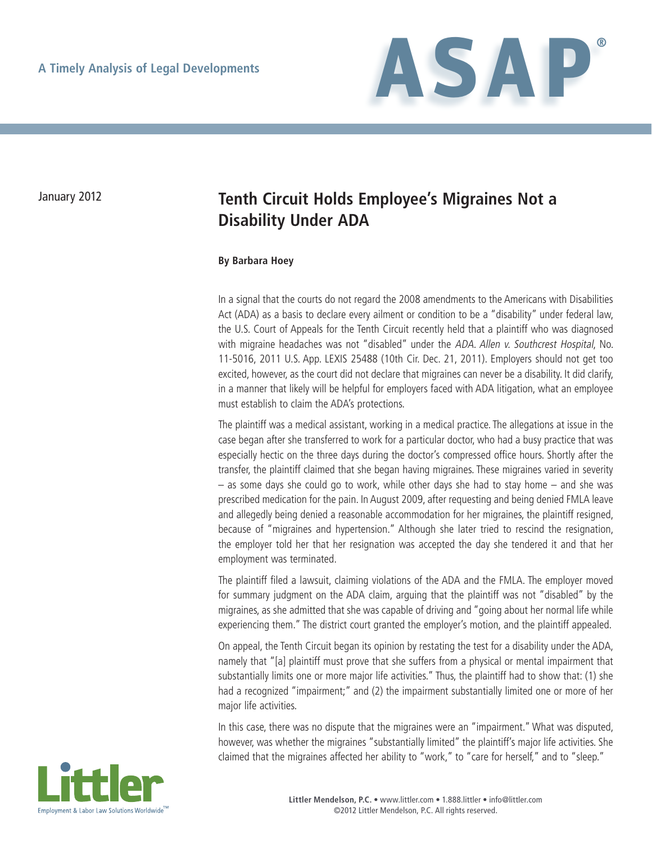

## January 2012 **Tenth Circuit Holds Employee's Migraines Not a Disability Under ADA**

## **By Barbara Hoey**

In a signal that the courts do not regard the 2008 amendments to the Americans with Disabilities Act (ADA) as a basis to declare every ailment or condition to be a "disability" under federal law, the U.S. Court of Appeals for the Tenth Circuit recently held that a plaintiff who was diagnosed with migraine headaches was not "disabled" under the ADA. Allen v. Southcrest Hospital, No. 11-5016, 2011 U.S. App. LEXIS 25488 (10th Cir. Dec. 21, 2011). Employers should not get too excited, however, as the court did not declare that migraines can never be a disability. It did clarify, in a manner that likely will be helpful for employers faced with ADA litigation, what an employee must establish to claim the ADA's protections.

The plaintiff was a medical assistant, working in a medical practice. The allegations at issue in the case began after she transferred to work for a particular doctor, who had a busy practice that was especially hectic on the three days during the doctor's compressed office hours. Shortly after the transfer, the plaintiff claimed that she began having migraines. These migraines varied in severity – as some days she could go to work, while other days she had to stay home – and she was prescribed medication for the pain. In August 2009, after requesting and being denied FMLA leave and allegedly being denied a reasonable accommodation for her migraines, the plaintiff resigned, because of "migraines and hypertension." Although she later tried to rescind the resignation, the employer told her that her resignation was accepted the day she tendered it and that her employment was terminated.

The plaintiff filed a lawsuit, claiming violations of the ADA and the FMLA. The employer moved for summary judgment on the ADA claim, arguing that the plaintiff was not "disabled" by the migraines, as she admitted that she was capable of driving and "going about her normal life while experiencing them." The district court granted the employer's motion, and the plaintiff appealed.

On appeal, the Tenth Circuit began its opinion by restating the test for a disability under the ADA, namely that "[a] plaintiff must prove that she suffers from a physical or mental impairment that substantially limits one or more major life activities." Thus, the plaintiff had to show that: (1) she had a recognized "impairment;" and (2) the impairment substantially limited one or more of her major life activities.

In this case, there was no dispute that the migraines were an "impairment." What was disputed, however, was whether the migraines "substantially limited" the plaintiff's major life activities. She claimed that the migraines affected her ability to "work," to "care for herself," and to "sleep."

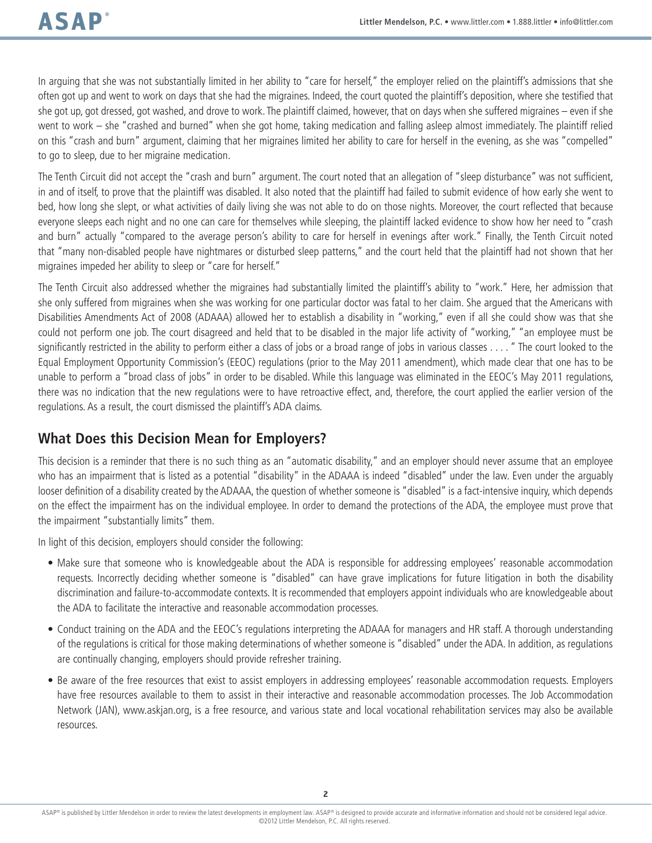In arguing that she was not substantially limited in her ability to "care for herself," the employer relied on the plaintiff's admissions that she often got up and went to work on days that she had the migraines. Indeed, the court quoted the plaintiff's deposition, where she testified that she got up, got dressed, got washed, and drove to work. The plaintiff claimed, however, that on days when she suffered migraines – even if she went to work – she "crashed and burned" when she got home, taking medication and falling asleep almost immediately. The plaintiff relied on this "crash and burn" argument, claiming that her migraines limited her ability to care for herself in the evening, as she was "compelled" to go to sleep, due to her migraine medication.

The Tenth Circuit did not accept the "crash and burn" argument. The court noted that an allegation of "sleep disturbance" was not sufficient, in and of itself, to prove that the plaintiff was disabled. It also noted that the plaintiff had failed to submit evidence of how early she went to bed, how long she slept, or what activities of daily living she was not able to do on those nights. Moreover, the court reflected that because everyone sleeps each night and no one can care for themselves while sleeping, the plaintiff lacked evidence to show how her need to "crash and burn" actually "compared to the average person's ability to care for herself in evenings after work." Finally, the Tenth Circuit noted that "many non-disabled people have nightmares or disturbed sleep patterns," and the court held that the plaintiff had not shown that her migraines impeded her ability to sleep or "care for herself."

The Tenth Circuit also addressed whether the migraines had substantially limited the plaintiff's ability to "work." Here, her admission that she only suffered from migraines when she was working for one particular doctor was fatal to her claim. She argued that the Americans with Disabilities Amendments Act of 2008 (ADAAA) allowed her to establish a disability in "working," even if all she could show was that she could not perform one job. The court disagreed and held that to be disabled in the major life activity of "working," "an employee must be significantly restricted in the ability to perform either a class of jobs or a broad range of jobs in various classes . . . . " The court looked to the Equal Employment Opportunity Commission's (EEOC) regulations (prior to the May 2011 amendment), which made clear that one has to be unable to perform a "broad class of jobs" in order to be disabled. While this language was eliminated in the EEOC's May 2011 regulations, there was no indication that the new regulations were to have retroactive effect, and, therefore, the court applied the earlier version of the regulations. As a result, the court dismissed the plaintiff's ADA claims.

## **What Does this Decision Mean for Employers?**

This decision is a reminder that there is no such thing as an "automatic disability," and an employer should never assume that an employee who has an impairment that is listed as a potential "disability" in the ADAAA is indeed "disabled" under the law. Even under the arguably looser definition of a disability created by the ADAAA, the question of whether someone is "disabled" is a fact-intensive inquiry, which depends on the effect the impairment has on the individual employee. In order to demand the protections of the ADA, the employee must prove that the impairment "substantially limits" them.

In light of this decision, employers should consider the following:

- • Make sure that someone who is knowledgeable about the ADA is responsible for addressing employees' reasonable accommodation requests. Incorrectly deciding whether someone is "disabled" can have grave implications for future litigation in both the disability discrimination and failure-to-accommodate contexts. It is recommended that employers appoint individuals who are knowledgeable about the ADA to facilitate the interactive and reasonable accommodation processes.
- • Conduct training on the ADA and the EEOC's regulations interpreting the ADAAA for managers and HR staff. A thorough understanding of the regulations is critical for those making determinations of whether someone is "disabled" under the ADA. In addition, as regulations are continually changing, employers should provide refresher training.
- Be aware of the free resources that exist to assist employers in addressing employees' reasonable accommodation requests. Employers have free resources available to them to assist in their interactive and reasonable accommodation processes. The Job Accommodation Network (JAN), www.askjan.org, is a free resource, and various state and local vocational rehabilitation services may also be available resources.